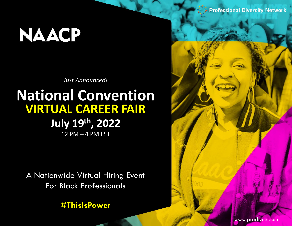# **NAACP**

**Just Announced!** 

### **National Convention VIRTUAL CAREER FAIR** July 19th, 2022 12 PM - 4 PM EST

A Nationwide Virtual Hiring Event **For Black Professionals** 

**#ThislsPower** 

**Professional Diversity Network** 

www.prodivnet.com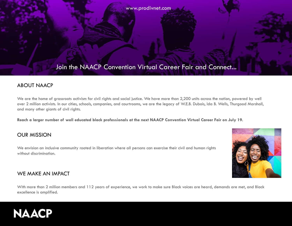www.prodivnet.com

### Join the NAACP Convention Virtual Career Fair and Connect...

#### ABOUT NAACP

We are the home of grassroots activism for civil rights and social justice. We have more than 2,200 units across the nation, powered by well over 2 million activists. In our cities, schools, companies, and courtrooms, we are the legacy of W.E.B. Dubois, Ida B. Wells, Thurgood Marshall, and many other giants of civil rights.

**Reach a larger number of well educated black professionals at the next NAACP Convention Virtual Career Fair on July 19.**

#### OUR MISSION

We envision an inclusive community rooted in liberation where all persons can exercise their civil and human rights without discrimination.

#### WE MAKE AN IMPACT

With more than 2 million members and 112 years of experience, we work to make sure Black voices are heard, demands are met, and Black excellence is amplified.

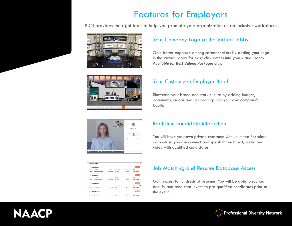### Features for Employers

PDN provides the right tools to help you promote your organization as an inclusive workplace.





#### Your Company Logo at the Virtual Lobby

Gain better exposure among career seekers by adding your Logo in the Virtual Lobby for easy click access into your virtual booth. *Available for Best Valued Packages only.*

#### Your Customized Employer Booth

Showcase your brand and work culture by adding images, documents, videos and job postings into your own company's booth.



|         | <b>Bruce Wayne</b>      |                      |                  |                      | <b>Wass Reserves</b>             |
|---------|-------------------------|----------------------|------------------|----------------------|----------------------------------|
| Name:   | <b>Bruce Wayne</b>      | Education:           | Master In IT     | Pessing year:        | 2019                             |
| E-mail: | bratewayne@email.com    | Job Interest:        | Full Time        | <b>Contact:</b>      | +1123 466 7890                   |
|         | Sofia Wells             |                      |                  |                      | <b>Van Tourns</b>                |
| Name    | <b>Softe Wells</b>      | Education            | Bachelor         | Passing year:        | 2020                             |
| E-mail: | softwartfolkemail.com   | Job Interest:        | Full Time        | Contact:             | 41123 AS6 7800                   |
|         | <b>Hank Rearden</b>     |                      |                  |                      | <b><i><u>View Bosses</u></i></b> |
| Name    | <b>Hank Rearders</b>    | Education:           | Master Marketing | <b>Passing year:</b> | 2017                             |
| E-mail: | hankrearden@email.com   | Job Interest:        | <b>Part Time</b> | <b>Contact:</b>      | +1123 456 7890                   |
|         | <b>Erlich Bachman</b>   |                      |                  |                      | <b>Was Rooms</b>                 |
| Name    | Edich Bachman           | Education            | BSCS 4 years     | Passing year:        | 2019                             |
| E-mail: | erlichbechman@email.com | <b>Job Interest:</b> | Full Time        | <b>Contact:</b>      | +1123 456 7890                   |

#### Real-time candidate interaction

You will have your own private chatroom with unlimited Recruiter accounts so you can connect and speak through text, audio and video with qualified candidates.

#### Job Matching and Resume Database Access

Gain access to hundreds of resumes. You will be able to source, qualify and send chat invites to pre-qualified candidates prior to the event.

## **NAACP**

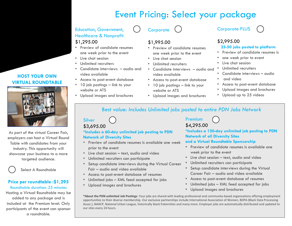### Event Pricing: Select your package

#### Education, Government, Healthcare & Nonprofit \$1,295.00

- Preview of candidate resumes one week prior to the event
- Live chat session
- Unlimited recruiters
- Candidate interviews audio and video available
- Access to post-event database
- 10 job postings link to your website or ATS
- Upload images and brochures

**Corporate** 

#### \$1,995.00

- Preview of candidate resumes one week prior to the event
- Live chat session
- Unlimited recruiters
- Candidate interviews audio and video available
- Access to post-event database
- 10 job postings link to your website or ATS
- Upload images and brochures

#### Corporate PLUS

### \$2,995.00

#### **25-50 jobs posted to platform**

- Preview of candidate resumes is
- one week prior to event
- Live chat session
- Unlimited recruiters
- Candidate interviews audio
- and video
- Access to post-event database
- Upload images and brochures
- Upload up to 25 videos

#### Best value: *Includes Unlimited jobs posted to entire PDN Jobs Network*

#### Silver \$3,695.00

#### **\*Includes a 60-day unlimited job posting to PDN Network of Diversity Sites**

- Preview of candidate resumes is available one week prior to the event
- Live chat session text, audio and video
- Unlimited recruiters can participate
- Setup candidate interviews during the Virtual Career Fair – audio and video available
- Access to post-event database of resumes
- Unlimited jobs XML feed accepted for jobs
- Upload images and brochures

#### Premium \$4,295.00

**\*Includes a 120-day unlimited job posting to PDN Network of all Diversity Sites** 

#### **and a Virtual Roundtable Sponsorship**

- Preview of candidate resumes is available one week prior to the event
- Live chat session text, audio and video
- Unlimited recruiters can participate
- Setup candidate interviews during the Virtual Career Fair – audio and video available
- Access to post-event database of resumes
- Unlimited jobs XML feed accepted for jobs
- Upload images and brochures

**\*About the PDN unlimited Job Postings**: Your jobs are shared with leading professional and community-based organizations offering employment opportunities to their diverse membership. Our exclusive partnerships include International Association of Women, BDPA (Black Data Processing Assoc.), NAACP, National Urban League, historically black fraternities and many more. Employer jobs are automatically distributed and updated to our sites every 24 hours.

#### **HOST YOUR OWN VIRTUAL ROUNDTABLE**



As part of the virtual Career Fair, employers can host a Virtual Round Table with candidates from your industry. This opportunity will showcase your business to a more targeted audience.

Select A Roundtable

#### **Price per roundtable :\$1,295**  Roundtable duration: 25 minutes

Hosting a Virtual Roundtable may be added to any package and is included at the Premium level. Only participants of the event can sponsor a roundtable.